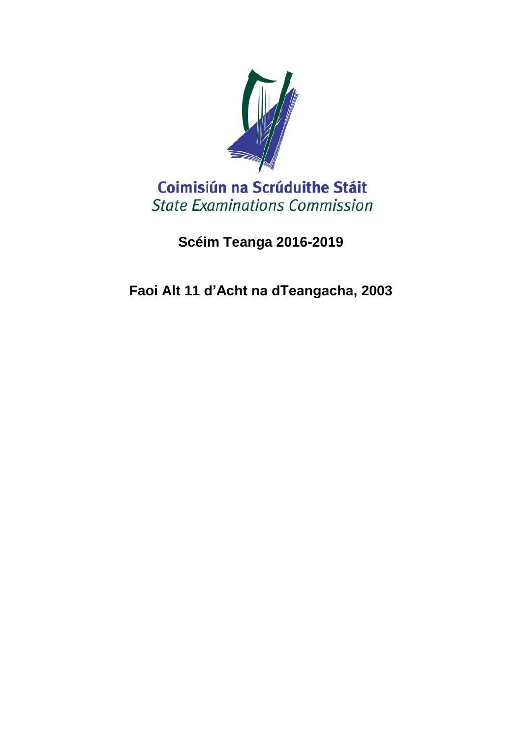

# **Scéim Teanga 2016-2019**

**Faoi Alt 11 d'Acht na dTeangacha, 2003**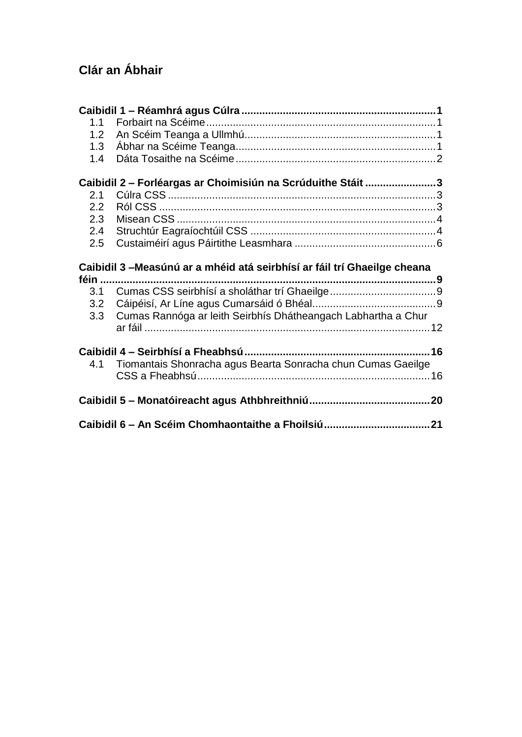# **Clár an Ábhair**

| 1.1 |                                                                           |  |
|-----|---------------------------------------------------------------------------|--|
| 1.2 |                                                                           |  |
| 1.3 |                                                                           |  |
| 1.4 |                                                                           |  |
|     |                                                                           |  |
|     | Caibidil 2 - Forléargas ar Choimisiún na Scrúduithe Stáit 3               |  |
| 2.1 |                                                                           |  |
| 2.2 |                                                                           |  |
| 2.3 |                                                                           |  |
| 2.4 |                                                                           |  |
| 2.5 |                                                                           |  |
|     |                                                                           |  |
|     |                                                                           |  |
|     | Caibidil 3 – Measúnú ar a mhéid atá seirbhísí ar fáil trí Ghaeilge cheana |  |
|     |                                                                           |  |
| 3.1 |                                                                           |  |
| 3.2 |                                                                           |  |
| 3.3 | Cumas Rannóga ar leith Seirbhís Dhátheangach Labhartha a Chur             |  |
|     |                                                                           |  |
|     |                                                                           |  |
|     |                                                                           |  |
| 4.1 | Tiomantais Shonracha agus Bearta Sonracha chun Cumas Gaeilge              |  |
|     |                                                                           |  |
|     |                                                                           |  |
|     |                                                                           |  |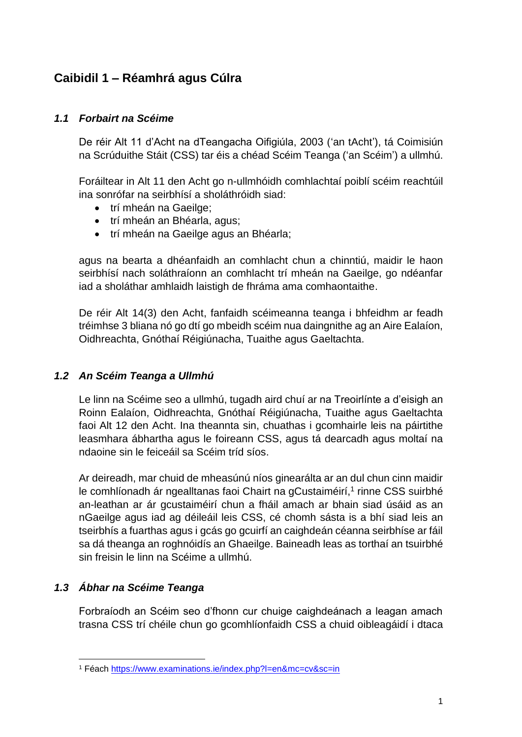# <span id="page-2-0"></span>**Caibidil 1 – Réamhrá agus Cúlra**

#### <span id="page-2-1"></span>*1.1 Forbairt na Scéime*

De réir Alt 11 d'Acht na dTeangacha Oifigiúla, 2003 ('an tAcht'), tá Coimisiún na Scrúduithe Stáit (CSS) tar éis a chéad Scéim Teanga ('an Scéim') a ullmhú.

Foráiltear in Alt 11 den Acht go n-ullmhóidh comhlachtaí poiblí scéim reachtúil ina sonrófar na seirbhísí a sholáthróidh siad:

- trí mheán na Gaeilge:
- trí mheán an Bhéarla, agus;
- trí mheán na Gaeilge agus an Bhéarla;

agus na bearta a dhéanfaidh an comhlacht chun a chinntiú, maidir le haon seirbhísí nach soláthraíonn an comhlacht trí mheán na Gaeilge, go ndéanfar iad a sholáthar amhlaidh laistigh de fhráma ama comhaontaithe.

De réir Alt 14(3) den Acht, fanfaidh scéimeanna teanga i bhfeidhm ar feadh tréimhse 3 bliana nó go dtí go mbeidh scéim nua daingnithe ag an Aire Ealaíon, Oidhreachta, Gnóthaí Réigiúnacha, Tuaithe agus Gaeltachta.

#### <span id="page-2-2"></span>*1.2 An Scéim Teanga a Ullmhú*

Le linn na Scéime seo a ullmhú, tugadh aird chuí ar na Treoirlínte a d'eisigh an Roinn Ealaíon, Oidhreachta, Gnóthaí Réigiúnacha, Tuaithe agus Gaeltachta faoi Alt 12 den Acht. Ina theannta sin, chuathas i gcomhairle leis na páirtithe leasmhara ábhartha agus le foireann CSS, agus tá dearcadh agus moltaí na ndaoine sin le feiceáil sa Scéim tríd síos.

Ar deireadh, mar chuid de mheasúnú níos ginearálta ar an dul chun cinn maidir le comhlíonadh ár ngealltanas faoi Chairt na gCustaiméirí,<sup>1</sup> rinne CSS suirbhé an-leathan ar ár gcustaiméirí chun a fháil amach ar bhain siad úsáid as an nGaeilge agus iad ag déileáil leis CSS, cé chomh sásta is a bhí siad leis an tseirbhís a fuarthas agus i gcás go gcuirfí an caighdeán céanna seirbhíse ar fáil sa dá theanga an roghnóidís an Ghaeilge. Baineadh leas as torthaí an tsuirbhé sin freisin le linn na Scéime a ullmhú.

#### <span id="page-2-3"></span>*1.3 Ábhar na Scéime Teanga*

1

Forbraíodh an Scéim seo d'fhonn cur chuige caighdeánach a leagan amach trasna CSS trí chéile chun go gcomhlíonfaidh CSS a chuid oibleagáidí i dtaca

<sup>1</sup> Féach<https://www.examinations.ie/index.php?l=en&mc=cv&sc=in>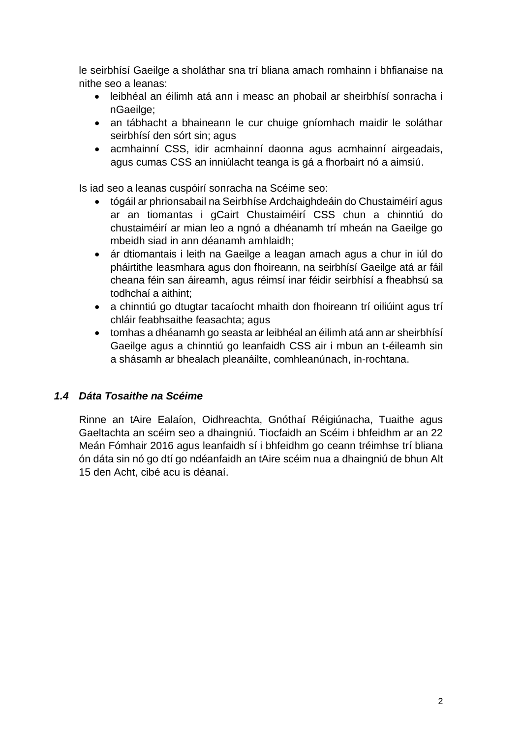le seirbhísí Gaeilge a sholáthar sna trí bliana amach romhainn i bhfianaise na nithe seo a leanas:

- leibhéal an éilimh atá ann i measc an phobail ar sheirbhísí sonracha i nGaeilge;
- an tábhacht a bhaineann le cur chuige gníomhach maidir le soláthar seirbhísí den sórt sin; agus
- acmhainní CSS, idir acmhainní daonna agus acmhainní airgeadais, agus cumas CSS an inniúlacht teanga is gá a fhorbairt nó a aimsiú.

Is iad seo a leanas cuspóirí sonracha na Scéime seo:

- tógáil ar phrionsabail na Seirbhíse Ardchaighdeáin do Chustaiméirí agus ar an tiomantas i gCairt Chustaiméirí CSS chun a chinntiú do chustaiméirí ar mian leo a ngnó a dhéanamh trí mheán na Gaeilge go mbeidh siad in ann déanamh amhlaidh;
- ár dtiomantais i leith na Gaeilge a leagan amach agus a chur in iúl do pháirtithe leasmhara agus don fhoireann, na seirbhísí Gaeilge atá ar fáil cheana féin san áireamh, agus réimsí inar féidir seirbhísí a fheabhsú sa todhchaí a aithint;
- a chinntiú go dtugtar tacaíocht mhaith don fhoireann trí oiliúint agus trí chláir feabhsaithe feasachta; agus
- tomhas a dhéanamh go seasta ar leibhéal an éilimh atá ann ar sheirbhísí Gaeilge agus a chinntiú go leanfaidh CSS air i mbun an t-éileamh sin a shásamh ar bhealach pleanáilte, comhleanúnach, in-rochtana.

#### <span id="page-3-0"></span>*1.4 Dáta Tosaithe na Scéime*

Rinne an tAire Ealaíon, Oidhreachta, Gnóthaí Réigiúnacha, Tuaithe agus Gaeltachta an scéim seo a dhaingniú. Tiocfaidh an Scéim i bhfeidhm ar an 22 Meán Fómhair 2016 agus leanfaidh sí i bhfeidhm go ceann tréimhse trí bliana ón dáta sin nó go dtí go ndéanfaidh an tAire scéim nua a dhaingniú de bhun Alt 15 den Acht, cibé acu is déanaí.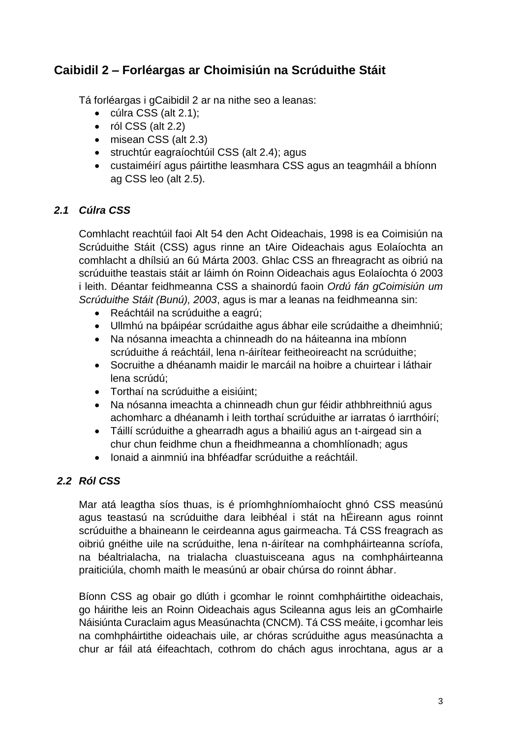# <span id="page-4-0"></span>**Caibidil 2 – Forléargas ar Choimisiún na Scrúduithe Stáit**

Tá forléargas i gCaibidil 2 ar na nithe seo a leanas:

- cúlra CSS (alt 2.1);
- $\bullet$  ról CSS (alt 2.2)
- misean CSS (alt 2.3)
- struchtúr eagraíochtúil CSS (alt 2.4); agus
- custaiméirí agus páirtithe leasmhara CSS agus an teagmháil a bhíonn ag CSS leo (alt 2.5).

#### <span id="page-4-1"></span>*2.1 Cúlra CSS*

Comhlacht reachtúil faoi Alt 54 den Acht Oideachais, 1998 is ea Coimisiún na Scrúduithe Stáit (CSS) agus rinne an tAire Oideachais agus Eolaíochta an comhlacht a dhílsiú an 6ú Márta 2003. Ghlac CSS an fhreagracht as oibriú na scrúduithe teastais stáit ar láimh ón Roinn Oideachais agus Eolaíochta ó 2003 i leith. Déantar feidhmeanna CSS a shainordú faoin *Ordú fán gCoimisiún um Scrúduithe Stáit (Bunú), 2003*, agus is mar a leanas na feidhmeanna sin:

- Reáchtáil na scrúduithe a eagrú;
- Ullmhú na bpáipéar scrúdaithe agus ábhar eile scrúdaithe a dheimhniú;
- Na nósanna imeachta a chinneadh do na háiteanna ina mbíonn scrúduithe á reáchtáil, lena n-áirítear feitheoireacht na scrúduithe;
- Socruithe a dhéanamh maidir le marcáil na hoibre a chuirtear i láthair lena scrúdú;
- Torthaí na scrúduithe a eisiúint;
- Na nósanna imeachta a chinneadh chun gur féidir athbhreithniú agus achomharc a dhéanamh i leith torthaí scrúduithe ar iarratas ó iarrthóirí;
- Táillí scrúduithe a ghearradh agus a bhailiú agus an t-airgead sin a chur chun feidhme chun a fheidhmeanna a chomhlíonadh; agus
- Ionaid a ainmniú ina bhféadfar scrúduithe a reáchtáil.

### <span id="page-4-2"></span>*2.2 Ról CSS*

Mar atá leagtha síos thuas, is é príomhghníomhaíocht ghnó CSS measúnú agus teastasú na scrúduithe dara leibhéal i stát na hÉireann agus roinnt scrúduithe a bhaineann le ceirdeanna agus gairmeacha. Tá CSS freagrach as oibriú gnéithe uile na scrúduithe, lena n-áirítear na comhpháirteanna scríofa, na béaltrialacha, na trialacha cluastuisceana agus na comhpháirteanna praiticiúla, chomh maith le measúnú ar obair chúrsa do roinnt ábhar.

Bíonn CSS ag obair go dlúth i gcomhar le roinnt comhpháirtithe oideachais, go háirithe leis an Roinn Oideachais agus Scileanna agus leis an gComhairle Náisiúnta Curaclaim agus Measúnachta (CNCM). Tá CSS meáite, i gcomhar leis na comhpháirtithe oideachais uile, ar chóras scrúduithe agus measúnachta a chur ar fáil atá éifeachtach, cothrom do chách agus inrochtana, agus ar a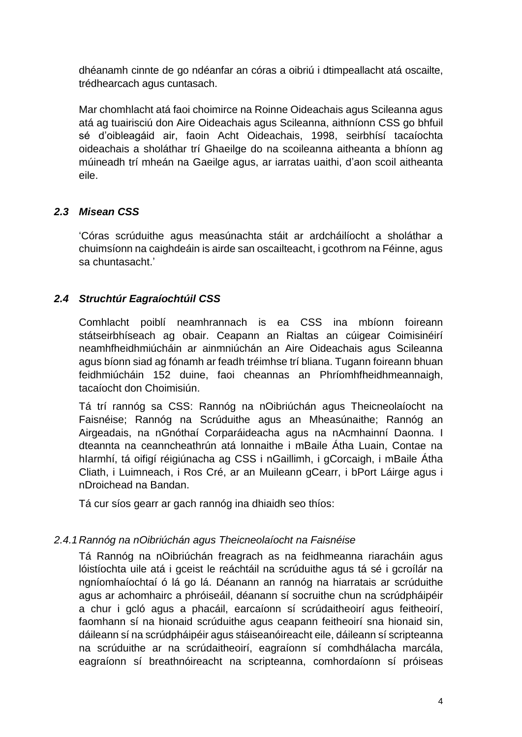dhéanamh cinnte de go ndéanfar an córas a oibriú i dtimpeallacht atá oscailte, trédhearcach agus cuntasach.

Mar chomhlacht atá faoi choimirce na Roinne Oideachais agus Scileanna agus atá ag tuairisciú don Aire Oideachais agus Scileanna, aithníonn CSS go bhfuil sé d'oibleagáid air, faoin Acht Oideachais, 1998, seirbhísí tacaíochta oideachais a sholáthar trí Ghaeilge do na scoileanna aitheanta a bhíonn ag múineadh trí mheán na Gaeilge agus, ar iarratas uaithi, d'aon scoil aitheanta eile.

#### <span id="page-5-0"></span>*2.3 Misean CSS*

'Córas scrúduithe agus measúnachta stáit ar ardcháilíocht a sholáthar a chuimsíonn na caighdeáin is airde san oscailteacht, i gcothrom na Féinne, agus sa chuntasacht.'

#### <span id="page-5-1"></span>*2.4 Struchtúr Eagraíochtúil CSS*

Comhlacht poiblí neamhrannach is ea CSS ina mbíonn foireann státseirbhíseach ag obair. Ceapann an Rialtas an cúigear Coimisinéirí neamhfheidhmiúcháin ar ainmniúchán an Aire Oideachais agus Scileanna agus bíonn siad ag fónamh ar feadh tréimhse trí bliana. Tugann foireann bhuan feidhmiúcháin 152 duine, faoi cheannas an Phríomhfheidhmeannaigh, tacaíocht don Choimisiún.

Tá trí rannóg sa CSS: Rannóg na nOibriúchán agus Theicneolaíocht na Faisnéise; Rannóg na Scrúduithe agus an Mheasúnaithe; Rannóg an Airgeadais, na nGnóthaí Corparáideacha agus na nAcmhainní Daonna. I dteannta na ceanncheathrún atá lonnaithe i mBaile Átha Luain, Contae na hIarmhí, tá oifigí réigiúnacha ag CSS i nGaillimh, i gCorcaigh, i mBaile Átha Cliath, i Luimneach, i Ros Cré, ar an Muileann gCearr, i bPort Láirge agus i nDroichead na Bandan.

Tá cur síos gearr ar gach rannóg ina dhiaidh seo thíos:

#### *2.4.1Rannóg na nOibriúchán agus Theicneolaíocht na Faisnéise*

Tá Rannóg na nOibriúchán freagrach as na feidhmeanna riaracháin agus lóistíochta uile atá i gceist le reáchtáil na scrúduithe agus tá sé i gcroílár na ngníomhaíochtaí ó lá go lá. Déanann an rannóg na hiarratais ar scrúduithe agus ar achomhairc a phróiseáil, déanann sí socruithe chun na scrúdpháipéir a chur i gcló agus a phacáil, earcaíonn sí scrúdaitheoirí agus feitheoirí, faomhann sí na hionaid scrúduithe agus ceapann feitheoirí sna hionaid sin, dáileann sí na scrúdpháipéir agus stáiseanóireacht eile, dáileann sí scripteanna na scrúduithe ar na scrúdaitheoirí, eagraíonn sí comhdhálacha marcála, eagraíonn sí breathnóireacht na scripteanna, comhordaíonn sí próiseas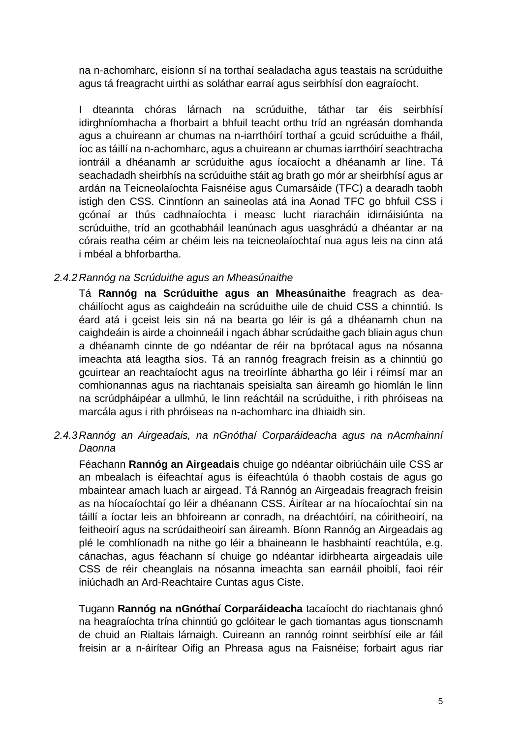na n-achomharc, eisíonn sí na torthaí sealadacha agus teastais na scrúduithe agus tá freagracht uirthi as soláthar earraí agus seirbhísí don eagraíocht.

I dteannta chóras lárnach na scrúduithe, táthar tar éis seirbhísí idirghníomhacha a fhorbairt a bhfuil teacht orthu tríd an ngréasán domhanda agus a chuireann ar chumas na n-iarrthóirí torthaí a gcuid scrúduithe a fháil, íoc as táillí na n-achomharc, agus a chuireann ar chumas iarrthóirí seachtracha iontráil a dhéanamh ar scrúduithe agus íocaíocht a dhéanamh ar líne. Tá seachadadh sheirbhís na scrúduithe stáit ag brath go mór ar sheirbhísí agus ar ardán na Teicneolaíochta Faisnéise agus Cumarsáide (TFC) a dearadh taobh istigh den CSS. Cinntíonn an saineolas atá ina Aonad TFC go bhfuil CSS i gcónaí ar thús cadhnaíochta i measc lucht riaracháin idirnáisiúnta na scrúduithe, tríd an gcothabháil leanúnach agus uasghrádú a dhéantar ar na córais reatha céim ar chéim leis na teicneolaíochtaí nua agus leis na cinn atá i mbéal a bhforbartha.

#### *2.4.2Rannóg na Scrúduithe agus an Mheasúnaithe*

Tá **Rannóg na Scrúduithe agus an Mheasúnaithe** freagrach as deacháilíocht agus as caighdeáin na scrúduithe uile de chuid CSS a chinntiú. Is éard atá i gceist leis sin ná na bearta go léir is gá a dhéanamh chun na caighdeáin is airde a choinneáil i ngach ábhar scrúdaithe gach bliain agus chun a dhéanamh cinnte de go ndéantar de réir na bprótacal agus na nósanna imeachta atá leagtha síos. Tá an rannóg freagrach freisin as a chinntiú go gcuirtear an reachtaíocht agus na treoirlínte ábhartha go léir i réimsí mar an comhionannas agus na riachtanais speisialta san áireamh go hiomlán le linn na scrúdpháipéar a ullmhú, le linn reáchtáil na scrúduithe, i rith phróiseas na marcála agus i rith phróiseas na n-achomharc ina dhiaidh sin.

#### *2.4.3Rannóg an Airgeadais, na nGnóthaí Corparáideacha agus na nAcmhainní Daonna*

Féachann **Rannóg an Airgeadais** chuige go ndéantar oibriúcháin uile CSS ar an mbealach is éifeachtaí agus is éifeachtúla ó thaobh costais de agus go mbaintear amach luach ar airgead. Tá Rannóg an Airgeadais freagrach freisin as na híocaíochtaí go léir a dhéanann CSS. Áirítear ar na híocaíochtaí sin na táillí a íoctar leis an bhfoireann ar conradh, na dréachtóirí, na cóiritheoirí, na feitheoirí agus na scrúdaitheoirí san áireamh. Bíonn Rannóg an Airgeadais ag plé le comhlíonadh na nithe go léir a bhaineann le hasbhaintí reachtúla, e.g. cánachas, agus féachann sí chuige go ndéantar idirbhearta airgeadais uile CSS de réir cheanglais na nósanna imeachta san earnáil phoiblí, faoi réir iniúchadh an Ard-Reachtaire Cuntas agus Ciste.

Tugann **Rannóg na nGnóthaí Corparáideacha** tacaíocht do riachtanais ghnó na heagraíochta trína chinntiú go gclóitear le gach tiomantas agus tionscnamh de chuid an Rialtais lárnaigh. Cuireann an rannóg roinnt seirbhísí eile ar fáil freisin ar a n-áirítear Oifig an Phreasa agus na Faisnéise; forbairt agus riar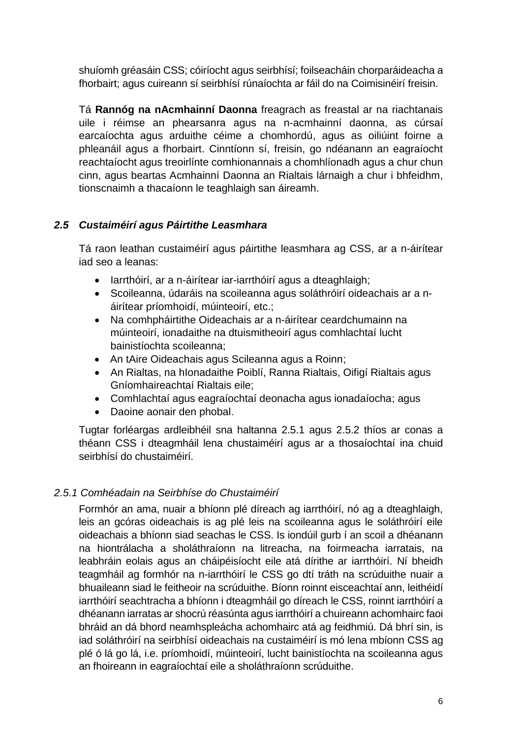shuíomh gréasáin CSS; cóiríocht agus seirbhísí; foilseacháin chorparáideacha a fhorbairt; agus cuireann sí seirbhísí rúnaíochta ar fáil do na Coimisinéirí freisin.

Tá **Rannóg na nAcmhainní Daonna** freagrach as freastal ar na riachtanais uile i réimse an phearsanra agus na n-acmhainní daonna, as cúrsaí earcaíochta agus arduithe céime a chomhordú, agus as oiliúint foirne a phleanáil agus a fhorbairt. Cinntíonn sí, freisin, go ndéanann an eagraíocht reachtaíocht agus treoirlínte comhionannais a chomhlíonadh agus a chur chun cinn, agus beartas Acmhainní Daonna an Rialtais lárnaigh a chur i bhfeidhm, tionscnaimh a thacaíonn le teaghlaigh san áireamh.

#### <span id="page-7-0"></span>*2.5 Custaiméirí agus Páirtithe Leasmhara*

Tá raon leathan custaiméirí agus páirtithe leasmhara ag CSS, ar a n-áirítear iad seo a leanas:

- larrthóirí, ar a n-áirítear iar-iarrthóirí agus a dteaghlaigh;
- Scoileanna, údaráis na scoileanna agus soláthróirí oideachais ar a náirítear príomhoidí, múinteoirí, etc.;
- Na comhpháirtithe Oideachais ar a n-áirítear ceardchumainn na múinteoirí, ionadaithe na dtuismitheoirí agus comhlachtaí lucht bainistíochta scoileanna;
- An tAire Oideachais agus Scileanna agus a Roinn;
- An Rialtas, na hIonadaithe Poiblí, Ranna Rialtais, Oifigí Rialtais agus Gníomhaireachtaí Rialtais eile;
- Comhlachtaí agus eagraíochtaí deonacha agus ionadaíocha; agus
- Daoine aonair den phobal.

Tugtar forléargas ardleibhéil sna haltanna 2.5.1 agus 2.5.2 thíos ar conas a théann CSS i dteagmháil lena chustaiméirí agus ar a thosaíochtaí ina chuid seirbhísí do chustaiméirí.

#### *2.5.1 Comhéadain na Seirbhíse do Chustaiméirí*

Formhór an ama, nuair a bhíonn plé díreach ag iarrthóirí, nó ag a dteaghlaigh, leis an gcóras oideachais is ag plé leis na scoileanna agus le soláthróirí eile oideachais a bhíonn siad seachas le CSS. Is iondúil gurb í an scoil a dhéanann na hiontrálacha a sholáthraíonn na litreacha, na foirmeacha iarratais, na leabhráin eolais agus an cháipéisíocht eile atá dírithe ar iarrthóirí. Ní bheidh teagmháil ag formhór na n-iarrthóirí le CSS go dtí tráth na scrúduithe nuair a bhuaileann siad le feitheoir na scrúduithe. Bíonn roinnt eisceachtaí ann, leithéidí iarrthóirí seachtracha a bhíonn i dteagmháil go díreach le CSS, roinnt iarrthóirí a dhéanann iarratas ar shocrú réasúnta agus iarrthóirí a chuireann achomhairc faoi bhráid an dá bhord neamhspleácha achomhairc atá ag feidhmiú. Dá bhrí sin, is iad soláthróirí na seirbhísí oideachais na custaiméirí is mó lena mbíonn CSS ag plé ó lá go lá, i.e. príomhoidí, múinteoirí, lucht bainistíochta na scoileanna agus an fhoireann in eagraíochtaí eile a sholáthraíonn scrúduithe.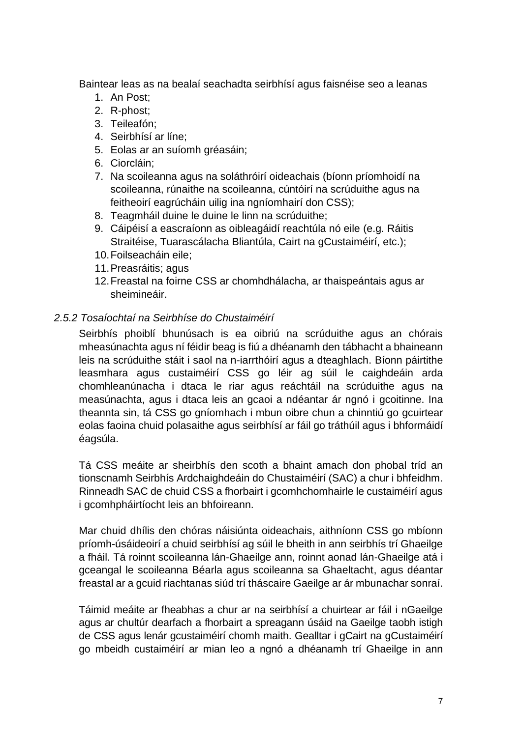Baintear leas as na bealaí seachadta seirbhísí agus faisnéise seo a leanas

- 1. An Post;
- 2. R-phost;
- 3. Teileafón;
- 4. Seirbhísí ar líne;
- 5. Eolas ar an suíomh gréasáin;
- 6. Ciorcláin;
- 7. Na scoileanna agus na soláthróirí oideachais (bíonn príomhoidí na scoileanna, rúnaithe na scoileanna, cúntóirí na scrúduithe agus na feitheoirí eagrúcháin uilig ina ngníomhairí don CSS);
- 8. Teagmháil duine le duine le linn na scrúduithe;
- 9. Cáipéisí a eascraíonn as oibleagáidí reachtúla nó eile (e.g. Ráitis Straitéise, Tuarascálacha Bliantúla, Cairt na gCustaiméirí, etc.);
- 10.Foilseacháin eile;
- 11.Preasráitis; agus
- 12.Freastal na foirne CSS ar chomhdhálacha, ar thaispeántais agus ar sheimineáir.

#### *2.5.2 Tosaíochtaí na Seirbhíse do Chustaiméirí*

Seirbhís phoiblí bhunúsach is ea oibriú na scrúduithe agus an chórais mheasúnachta agus ní féidir beag is fiú a dhéanamh den tábhacht a bhaineann leis na scrúduithe stáit i saol na n-iarrthóirí agus a dteaghlach. Bíonn páirtithe leasmhara agus custaiméirí CSS go léir ag súil le caighdeáin arda chomhleanúnacha i dtaca le riar agus reáchtáil na scrúduithe agus na measúnachta, agus i dtaca leis an gcaoi a ndéantar ár ngnó i gcoitinne. Ina theannta sin, tá CSS go gníomhach i mbun oibre chun a chinntiú go gcuirtear eolas faoina chuid polasaithe agus seirbhísí ar fáil go tráthúil agus i bhformáidí éagsúla.

Tá CSS meáite ar sheirbhís den scoth a bhaint amach don phobal tríd an tionscnamh Seirbhís Ardchaighdeáin do Chustaiméirí (SAC) a chur i bhfeidhm. Rinneadh SAC de chuid CSS a fhorbairt i gcomhchomhairle le custaiméirí agus i gcomhpháirtíocht leis an bhfoireann.

Mar chuid dhílis den chóras náisiúnta oideachais, aithníonn CSS go mbíonn príomh-úsáideoirí a chuid seirbhísí ag súil le bheith in ann seirbhís trí Ghaeilge a fháil. Tá roinnt scoileanna lán-Ghaeilge ann, roinnt aonad lán-Ghaeilge atá i gceangal le scoileanna Béarla agus scoileanna sa Ghaeltacht, agus déantar freastal ar a gcuid riachtanas siúd trí tháscaire Gaeilge ar ár mbunachar sonraí.

Táimid meáite ar fheabhas a chur ar na seirbhísí a chuirtear ar fáil i nGaeilge agus ar chultúr dearfach a fhorbairt a spreagann úsáid na Gaeilge taobh istigh de CSS agus lenár gcustaiméirí chomh maith. Gealltar i gCairt na gCustaiméirí go mbeidh custaiméirí ar mian leo a ngnó a dhéanamh trí Ghaeilge in ann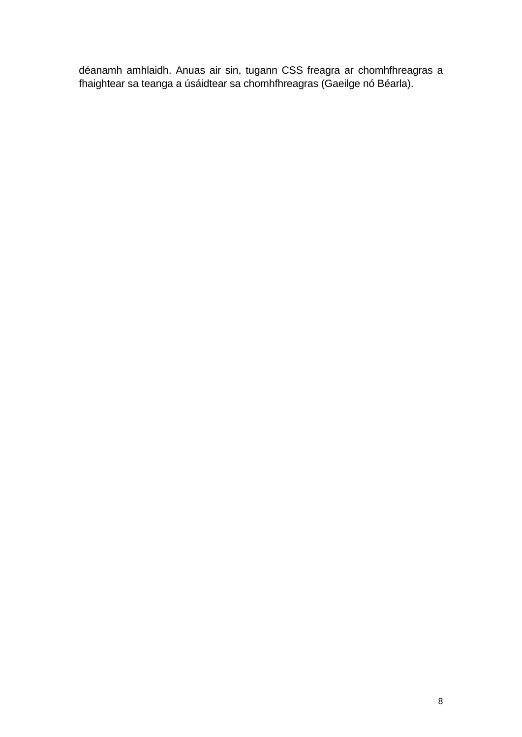déanamh amhlaidh. Anuas air sin, tugann CSS freagra ar chomhfhreagras a fhaightear sa teanga a úsáidtear sa chomhfhreagras (Gaeilge nó Béarla).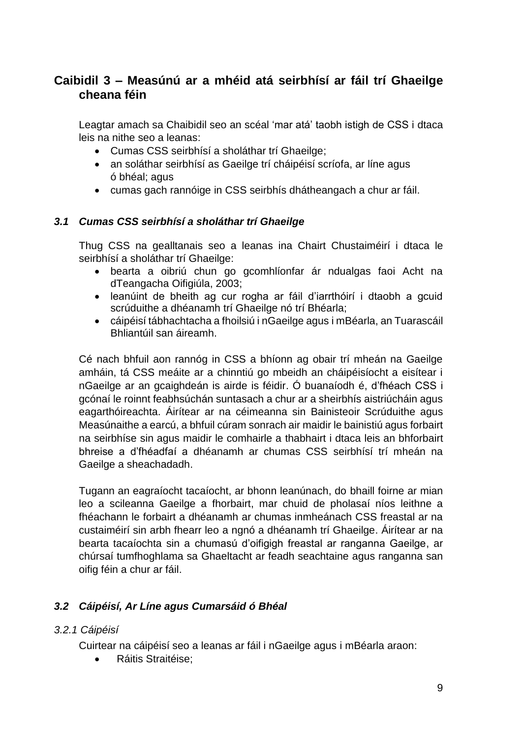# <span id="page-10-0"></span>**Caibidil 3 – Measúnú ar a mhéid atá seirbhísí ar fáil trí Ghaeilge cheana féin**

Leagtar amach sa Chaibidil seo an scéal 'mar atá' taobh istigh de CSS i dtaca leis na nithe seo a leanas:

- Cumas CSS seirbhísí a sholáthar trí Ghaeilge;
- an soláthar seirbhísí as Gaeilge trí cháipéisí scríofa, ar líne agus ó bhéal; agus
- cumas gach rannóige in CSS seirbhís dhátheangach a chur ar fáil.

#### <span id="page-10-1"></span>*3.1 Cumas CSS seirbhísí a sholáthar trí Ghaeilge*

Thug CSS na gealltanais seo a leanas ina Chairt Chustaiméirí i dtaca le seirbhísí a sholáthar trí Ghaeilge:

- bearta a oibriú chun go gcomhlíonfar ár ndualgas faoi Acht na dTeangacha Oifigiúla, 2003;
- leanúint de bheith ag cur rogha ar fáil d'iarrthóirí i dtaobh a gcuid scrúduithe a dhéanamh trí Ghaeilge nó trí Bhéarla;
- cáipéisí tábhachtacha a fhoilsiú i nGaeilge agus i mBéarla, an Tuarascáil Bhliantúil san áireamh.

Cé nach bhfuil aon rannóg in CSS a bhíonn ag obair trí mheán na Gaeilge amháin, tá CSS meáite ar a chinntiú go mbeidh an cháipéisíocht a eisítear i nGaeilge ar an gcaighdeán is airde is féidir. Ó buanaíodh é, d'fhéach CSS i gcónaí le roinnt feabhsúchán suntasach a chur ar a sheirbhís aistriúcháin agus eagarthóireachta. Áirítear ar na céimeanna sin Bainisteoir Scrúduithe agus Measúnaithe a earcú, a bhfuil cúram sonrach air maidir le bainistiú agus forbairt na seirbhíse sin agus maidir le comhairle a thabhairt i dtaca leis an bhforbairt bhreise a d'fhéadfaí a dhéanamh ar chumas CSS seirbhísí trí mheán na Gaeilge a sheachadadh.

Tugann an eagraíocht tacaíocht, ar bhonn leanúnach, do bhaill foirne ar mian leo a scileanna Gaeilge a fhorbairt, mar chuid de pholasaí níos leithne a fhéachann le forbairt a dhéanamh ar chumas inmheánach CSS freastal ar na custaiméirí sin arbh fhearr leo a ngnó a dhéanamh trí Ghaeilge. Áirítear ar na bearta tacaíochta sin a chumasú d'oifigigh freastal ar ranganna Gaeilge, ar chúrsaí tumfhoghlama sa Ghaeltacht ar feadh seachtaine agus ranganna san oifig féin a chur ar fáil.

#### <span id="page-10-2"></span>*3.2 Cáipéisí, Ar Líne agus Cumarsáid ó Bhéal*

#### *3.2.1 Cáipéisí*

Cuirtear na cáipéisí seo a leanas ar fáil i nGaeilge agus i mBéarla araon:

Ráitis Straitéise;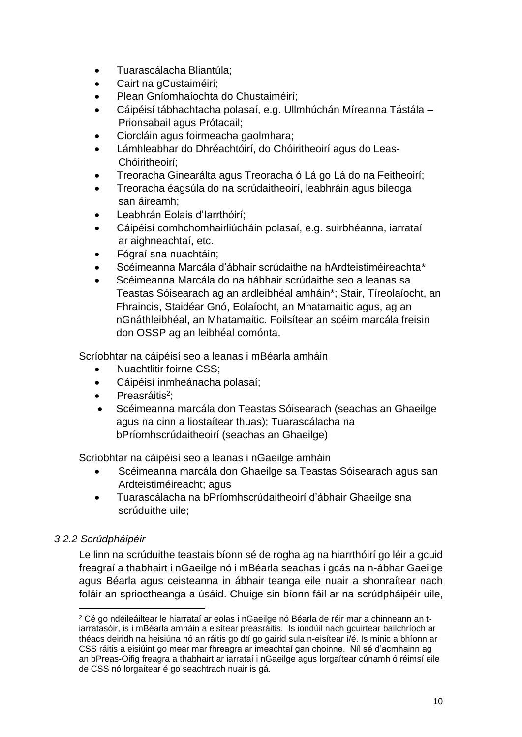- Tuarascálacha Bliantúla;
- Cairt na gCustaiméirí;
- Plean Gníomhaíochta do Chustaiméirí;
- Cáipéisí tábhachtacha polasaí, e.g. Ullmhúchán Míreanna Tástála Prionsabail agus Prótacail;
- Ciorcláin agus foirmeacha gaolmhara;
- Lámhleabhar do Dhréachtóirí, do Chóiritheoirí agus do Leas-Chóiritheoirí;
- Treoracha Ginearálta agus Treoracha ó Lá go Lá do na Feitheoirí;
- Treoracha éagsúla do na scrúdaitheoirí, leabhráin agus bileoga san áireamh;
- Leabhrán Eolais d'Iarrthóirí;
- Cáipéisí comhchomhairliúcháin polasaí, e.g. suirbhéanna, iarrataí ar aighneachtaí, etc.
- Fógraí sna nuachtáin;
- Scéimeanna Marcála d'ábhair scrúdaithe na hArdteistiméireachta*\**
- Scéimeanna Marcála do na hábhair scrúdaithe seo a leanas sa Teastas Sóisearach ag an ardleibhéal amháin\*; Stair, Tíreolaíocht, an Fhraincis, Staidéar Gnó, Eolaíocht, an Mhatamaitic agus, ag an nGnáthleibhéal, an Mhatamaitic. Foilsítear an scéim marcála freisin don OSSP ag an leibhéal comónta.

Scríobhtar na cáipéisí seo a leanas i mBéarla amháin

- Nuachtlitir foirne CSS;
- Cáipéisí inmheánacha polasaí;
- Preasráitis<sup>2</sup>;
- Scéimeanna marcála don Teastas Sóisearach (seachas an Ghaeilge agus na cinn a liostaítear thuas); Tuarascálacha na bPríomhscrúdaitheoirí (seachas an Ghaeilge)

Scríobhtar na cáipéisí seo a leanas i nGaeilge amháin

- Scéimeanna marcála don Ghaeilge sa Teastas Sóisearach agus san Ardteistiméireacht; agus
- Tuarascálacha na bPríomhscrúdaitheoirí d'ábhair Ghaeilge sna scrúduithe uile;

### *3.2.2 Scrúdpháipéir*

1

Le linn na scrúduithe teastais bíonn sé de rogha ag na hiarrthóirí go léir a gcuid freagraí a thabhairt i nGaeilge nó i mBéarla seachas i gcás na n-ábhar Gaeilge agus Béarla agus ceisteanna in ábhair teanga eile nuair a shonraítear nach foláir an sprioctheanga a úsáid. Chuige sin bíonn fáil ar na scrúdpháipéir uile,

<sup>2</sup> Cé go ndéileáiltear le hiarrataí ar eolas i nGaeilge nó Béarla de réir mar a chinneann an tiarratasóir, is i mBéarla amháin a eisítear preasráitis. Is iondúil nach gcuirtear bailchríoch ar théacs deiridh na heisiúna nó an ráitis go dtí go gairid sula n-eisítear í/é. Is minic a bhíonn ar CSS ráitis a eisiúint go mear mar fhreagra ar imeachtaí gan choinne. Níl sé d'acmhainn ag an bPreas-Oifig freagra a thabhairt ar iarrataí i nGaeilge agus lorgaítear cúnamh ó réimsí eile de CSS nó lorgaítear é go seachtrach nuair is gá.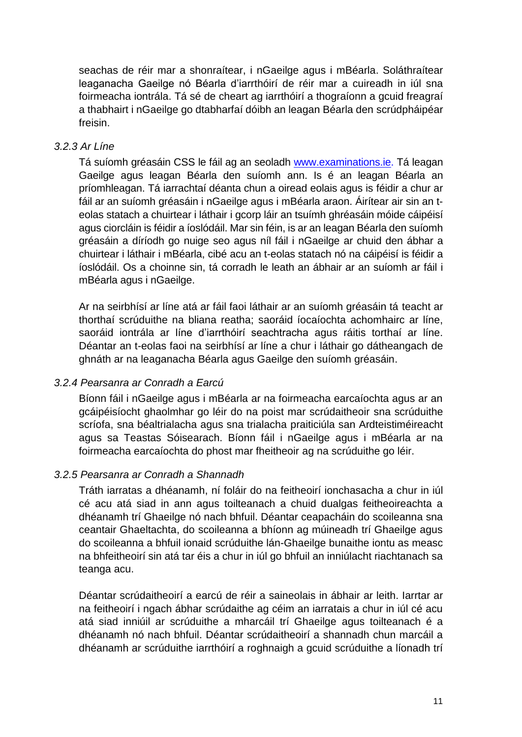seachas de réir mar a shonraítear, i nGaeilge agus i mBéarla. Soláthraítear leaganacha Gaeilge nó Béarla d'iarrthóirí de réir mar a cuireadh in iúl sna foirmeacha iontrála. Tá sé de cheart ag iarrthóirí a thograíonn a gcuid freagraí a thabhairt i nGaeilge go dtabharfaí dóibh an leagan Béarla den scrúdpháipéar freisin.

#### *3.2.3 Ar Líne*

Tá suíomh gréasáin CSS le fáil ag an seoladh [www.examinations.ie.](http://www.examinations.ie/) Tá leagan Gaeilge agus leagan Béarla den suíomh ann. Is é an leagan Béarla an príomhleagan. Tá iarrachtaí déanta chun a oiread eolais agus is féidir a chur ar fáil ar an suíomh gréasáin i nGaeilge agus i mBéarla araon. Áirítear air sin an teolas statach a chuirtear i láthair i gcorp láir an tsuímh ghréasáin móide cáipéisí agus ciorcláin is féidir a íoslódáil. Mar sin féin, is ar an leagan Béarla den suíomh gréasáin a díríodh go nuige seo agus níl fáil i nGaeilge ar chuid den ábhar a chuirtear i láthair i mBéarla, cibé acu an t-eolas statach nó na cáipéisí is féidir a íoslódáil. Os a choinne sin, tá corradh le leath an ábhair ar an suíomh ar fáil i mBéarla agus i nGaeilge.

Ar na seirbhísí ar líne atá ar fáil faoi láthair ar an suíomh gréasáin tá teacht ar thorthaí scrúduithe na bliana reatha; saoráid íocaíochta achomhairc ar líne, saoráid iontrála ar líne d'iarrthóirí seachtracha agus ráitis torthaí ar líne. Déantar an t-eolas faoi na seirbhísí ar líne a chur i láthair go dátheangach de ghnáth ar na leaganacha Béarla agus Gaeilge den suíomh gréasáin.

#### *3.2.4 Pearsanra ar Conradh a Earcú*

Bíonn fáil i nGaeilge agus i mBéarla ar na foirmeacha earcaíochta agus ar an gcáipéisíocht ghaolmhar go léir do na poist mar scrúdaitheoir sna scrúduithe scríofa, sna béaltrialacha agus sna trialacha praiticiúla san Ardteistiméireacht agus sa Teastas Sóisearach. Bíonn fáil i nGaeilge agus i mBéarla ar na foirmeacha earcaíochta do phost mar fheitheoir ag na scrúduithe go léir.

#### *3.2.5 Pearsanra ar Conradh a Shannadh*

Tráth iarratas a dhéanamh, ní foláir do na feitheoirí ionchasacha a chur in iúl cé acu atá siad in ann agus toilteanach a chuid dualgas feitheoireachta a dhéanamh trí Ghaeilge nó nach bhfuil. Déantar ceapacháin do scoileanna sna ceantair Ghaeltachta, do scoileanna a bhíonn ag múineadh trí Ghaeilge agus do scoileanna a bhfuil ionaid scrúduithe lán-Ghaeilge bunaithe iontu as measc na bhfeitheoirí sin atá tar éis a chur in iúl go bhfuil an inniúlacht riachtanach sa teanga acu.

Déantar scrúdaitheoirí a earcú de réir a saineolais in ábhair ar leith. Iarrtar ar na feitheoirí i ngach ábhar scrúdaithe ag céim an iarratais a chur in iúl cé acu atá siad inniúil ar scrúduithe a mharcáil trí Ghaeilge agus toilteanach é a dhéanamh nó nach bhfuil. Déantar scrúdaitheoirí a shannadh chun marcáil a dhéanamh ar scrúduithe iarrthóirí a roghnaigh a gcuid scrúduithe a líonadh trí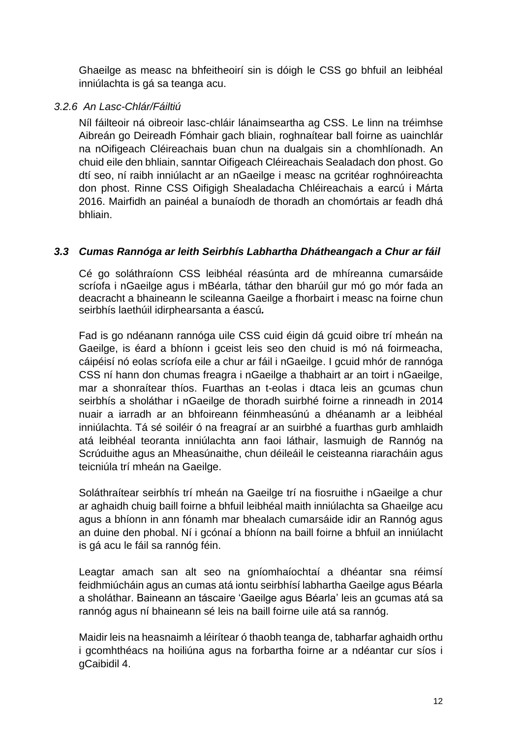Ghaeilge as measc na bhfeitheoirí sin is dóigh le CSS go bhfuil an leibhéal inniúlachta is gá sa teanga acu.

#### *3.2.6 An Lasc-Chlár/Fáiltiú*

Níl fáilteoir ná oibreoir lasc-chláir lánaimseartha ag CSS. Le linn na tréimhse Aibreán go Deireadh Fómhair gach bliain, roghnaítear ball foirne as uainchlár na nOifigeach Cléireachais buan chun na dualgais sin a chomhlíonadh. An chuid eile den bhliain, sanntar Oifigeach Cléireachais Sealadach don phost. Go dtí seo, ní raibh inniúlacht ar an nGaeilge i measc na gcritéar roghnóireachta don phost. Rinne CSS Oifigigh Shealadacha Chléireachais a earcú i Márta 2016. Mairfidh an painéal a bunaíodh de thoradh an chomórtais ar feadh dhá bhliain.

#### <span id="page-13-0"></span>*3.3 Cumas Rannóga ar leith Seirbhís Labhartha Dhátheangach a Chur ar fáil*

Cé go soláthraíonn CSS leibhéal réasúnta ard de mhíreanna cumarsáide scríofa i nGaeilge agus i mBéarla, táthar den bharúil gur mó go mór fada an deacracht a bhaineann le scileanna Gaeilge a fhorbairt i measc na foirne chun seirbhís laethúil idirphearsanta a éascú*.*

Fad is go ndéanann rannóga uile CSS cuid éigin dá gcuid oibre trí mheán na Gaeilge, is éard a bhíonn i gceist leis seo den chuid is mó ná foirmeacha, cáipéisí nó eolas scríofa eile a chur ar fáil i nGaeilge. I gcuid mhór de rannóga CSS ní hann don chumas freagra i nGaeilge a thabhairt ar an toirt i nGaeilge, mar a shonraítear thíos. Fuarthas an t-eolas i dtaca leis an gcumas chun seirbhís a sholáthar i nGaeilge de thoradh suirbhé foirne a rinneadh in 2014 nuair a iarradh ar an bhfoireann féinmheasúnú a dhéanamh ar a leibhéal inniúlachta. Tá sé soiléir ó na freagraí ar an suirbhé a fuarthas gurb amhlaidh atá leibhéal teoranta inniúlachta ann faoi láthair, lasmuigh de Rannóg na Scrúduithe agus an Mheasúnaithe, chun déileáil le ceisteanna riaracháin agus teicniúla trí mheán na Gaeilge.

Soláthraítear seirbhís trí mheán na Gaeilge trí na fiosruithe i nGaeilge a chur ar aghaidh chuig baill foirne a bhfuil leibhéal maith inniúlachta sa Ghaeilge acu agus a bhíonn in ann fónamh mar bhealach cumarsáide idir an Rannóg agus an duine den phobal. Ní i gcónaí a bhíonn na baill foirne a bhfuil an inniúlacht is gá acu le fáil sa rannóg féin.

Leagtar amach san alt seo na gníomhaíochtaí a dhéantar sna réimsí feidhmiúcháin agus an cumas atá iontu seirbhísí labhartha Gaeilge agus Béarla a sholáthar. Baineann an táscaire 'Gaeilge agus Béarla' leis an gcumas atá sa rannóg agus ní bhaineann sé leis na baill foirne uile atá sa rannóg.

Maidir leis na heasnaimh a léirítear ó thaobh teanga de, tabharfar aghaidh orthu i gcomhthéacs na hoiliúna agus na forbartha foirne ar a ndéantar cur síos i gCaibidil 4.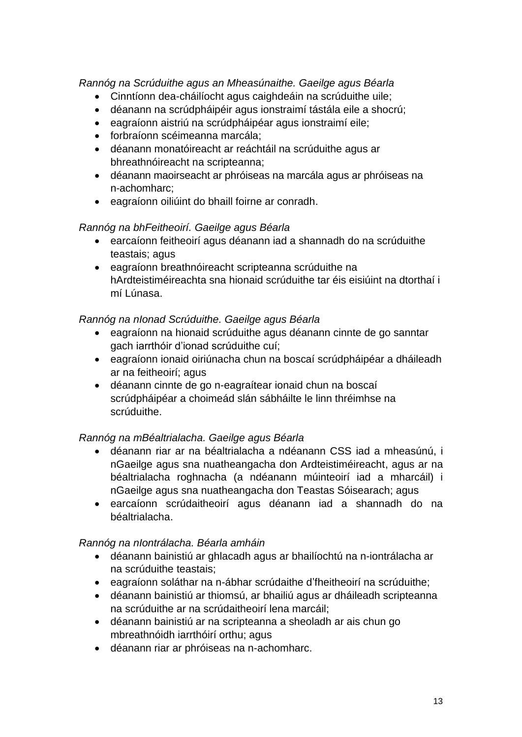*Rannóg na Scrúduithe agus an Mheasúnaithe. Gaeilge agus Béarla*

- Cinntíonn dea-cháilíocht agus caighdeáin na scrúduithe uile;
- déanann na scrúdpháipéir agus ionstraimí tástála eile a shocrú;
- eagraíonn aistriú na scrúdpháipéar agus ionstraimí eile;
- forbraíonn scéimeanna marcála;
- déanann monatóireacht ar reáchtáil na scrúduithe agus ar bhreathnóireacht na scripteanna;
- déanann maoirseacht ar phróiseas na marcála agus ar phróiseas na n-achomharc;
- eagraíonn oiliúint do bhaill foirne ar conradh.

#### *Rannóg na bhFeitheoirí. Gaeilge agus Béarla*

- earcaíonn feitheoirí agus déanann iad a shannadh do na scrúduithe teastais; agus
- eagraíonn breathnóireacht scripteanna scrúduithe na hArdteistiméireachta sna hionaid scrúduithe tar éis eisiúint na dtorthaí i mí Lúnasa.

#### *Rannóg na nIonad Scrúduithe. Gaeilge agus Béarla*

- eagraíonn na hionaid scrúduithe agus déanann cinnte de go sanntar gach iarrthóir d'ionad scrúduithe cuí;
- eagraíonn ionaid oiriúnacha chun na boscaí scrúdpháipéar a dháileadh ar na feitheoirí; agus
- déanann cinnte de go n-eagraítear ionaid chun na boscaí scrúdpháipéar a choimeád slán sábháilte le linn thréimhse na scrúduithe.

#### *Rannóg na mBéaltrialacha. Gaeilge agus Béarla*

- déanann riar ar na béaltrialacha a ndéanann CSS iad a mheasúnú, i nGaeilge agus sna nuatheangacha don Ardteistiméireacht, agus ar na béaltrialacha roghnacha (a ndéanann múinteoirí iad a mharcáil) i nGaeilge agus sna nuatheangacha don Teastas Sóisearach; agus
- earcaíonn scrúdaitheoirí agus déanann iad a shannadh do na béaltrialacha.

#### *Rannóg na nIontrálacha. Béarla amháin*

- déanann bainistiú ar ghlacadh agus ar bhailíochtú na n-iontrálacha ar na scrúduithe teastais;
- eagraíonn soláthar na n-ábhar scrúdaithe d'fheitheoirí na scrúduithe;
- déanann bainistiú ar thiomsú, ar bhailiú agus ar dháileadh scripteanna na scrúduithe ar na scrúdaitheoirí lena marcáil;
- déanann bainistiú ar na scripteanna a sheoladh ar ais chun go mbreathnóidh iarrthóirí orthu; agus
- déanann riar ar phróiseas na n-achomharc.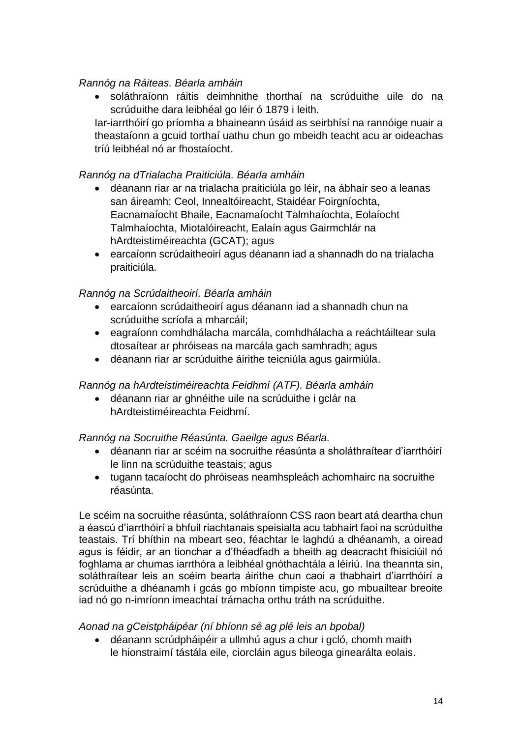#### *Rannóg na Ráiteas. Béarla amháin*

 soláthraíonn ráitis deimhnithe thorthaí na scrúduithe uile do na scrúduithe dara leibhéal go léir ó 1879 i leith.

Iar-iarrthóirí go príomha a bhaineann úsáid as seirbhísí na rannóige nuair a theastaíonn a gcuid torthaí uathu chun go mbeidh teacht acu ar oideachas tríú leibhéal nó ar fhostaíocht.

#### *Rannóg na dTrialacha Praiticiúla. Béarla amháin*

- déanann riar ar na trialacha praiticiúla go léir, na ábhair seo a leanas san áireamh: Ceol, Innealtóireacht, Staidéar Foirgníochta, Eacnamaíocht Bhaile, Eacnamaíocht Talmhaíochta, Eolaíocht Talmhaíochta, Miotalóireacht, Ealaín agus Gairmchlár na hArdteistiméireachta (GCAT); agus
- earcaíonn scrúdaitheoirí agus déanann iad a shannadh do na trialacha praiticiúla.

#### *Rannóg na Scrúdaitheoirí. Béarla amháin*

- earcaíonn scrúdaitheoirí agus déanann iad a shannadh chun na scrúduithe scríofa a mharcáil;
- eagraíonn comhdhálacha marcála, comhdhálacha a reáchtáiltear sula dtosaítear ar phróiseas na marcála gach samhradh; agus
- déanann riar ar scrúduithe áirithe teicniúla agus gairmiúla.

#### *Rannóg na hArdteistiméireachta Feidhmí (ATF). Béarla amháin*

 déanann riar ar ghnéithe uile na scrúduithe i gclár na hArdteistiméireachta Feidhmí.

#### *Rannóg na Socruithe Réasúnta. Gaeilge agus Béarla.*

- déanann riar ar scéim na socruithe réasúnta a sholáthraítear d'iarrthóirí le linn na scrúduithe teastais; agus
- tugann tacaíocht do phróiseas neamhspleách achomhairc na socruithe réasúnta.

Le scéim na socruithe réasúnta, soláthraíonn CSS raon beart atá deartha chun a éascú d'iarrthóirí a bhfuil riachtanais speisialta acu tabhairt faoi na scrúduithe teastais. Trí bhíthin na mbeart seo, féachtar le laghdú a dhéanamh, a oiread agus is féidir, ar an tionchar a d'fhéadfadh a bheith ag deacracht fhisiciúil nó foghlama ar chumas iarrthóra a leibhéal gnóthachtála a léiriú. Ina theannta sin, soláthraítear leis an scéim bearta áirithe chun caoi a thabhairt d'iarrthóirí a scrúduithe a dhéanamh i gcás go mbíonn timpiste acu, go mbuailtear breoite iad nó go n-imríonn imeachtaí trámacha orthu tráth na scrúduithe.

#### *Aonad na gCeistpháipéar (ní bhíonn sé ag plé leis an bpobal)*

 déanann scrúdpháipéir a ullmhú agus a chur i gcló, chomh maith le hionstraimí tástála eile, ciorcláin agus bileoga ginearálta eolais.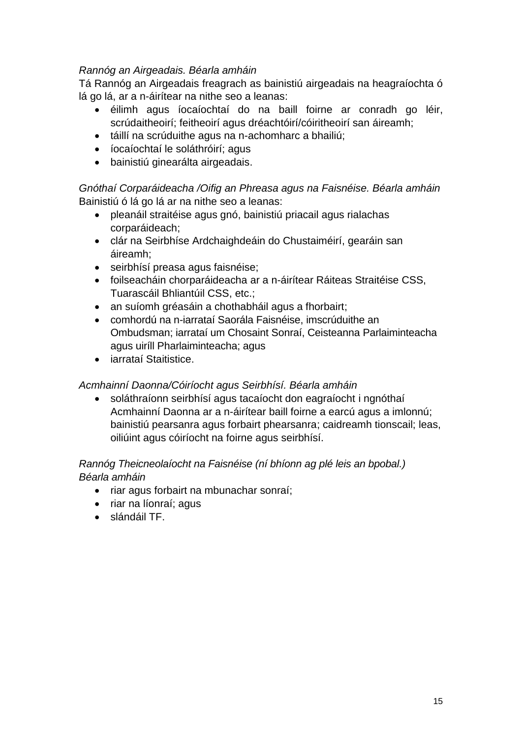#### *Rannóg an Airgeadais. Béarla amháin*

Tá Rannóg an Airgeadais freagrach as bainistiú airgeadais na heagraíochta ó lá go lá, ar a n-áirítear na nithe seo a leanas:

- éilimh agus íocaíochtaí do na baill foirne ar conradh go léir, scrúdaitheoirí; feitheoirí agus dréachtóirí/cóiritheoirí san áireamh;
- táillí na scrúduithe agus na n-achomharc a bhailiú;
- íocaíochtaí le soláthróirí; agus
- bainistiú ginearálta airgeadais.

*Gnóthaí Corparáideacha /Oifig an Phreasa agus na Faisnéise. Béarla amháin* Bainistiú ó lá go lá ar na nithe seo a leanas:

- pleanáil straitéise agus gnó, bainistiú priacail agus rialachas corparáideach;
- clár na Seirbhíse Ardchaighdeáin do Chustaiméirí, gearáin san áireamh;
- seirbhísí preasa agus faisnéise;
- foilseacháin chorparáideacha ar a n-áirítear Ráiteas Straitéise CSS, Tuarascáil Bhliantúil CSS, etc.;
- an suíomh gréasáin a chothabháil agus a fhorbairt;
- comhordú na n-iarrataí Saorála Faisnéise, imscrúduithe an Ombudsman; iarrataí um Chosaint Sonraí, Ceisteanna Parlaiminteacha agus uiríll Pharlaiminteacha; agus
- iarrataí Staitistice.

#### *Acmhainní Daonna/Cóiríocht agus Seirbhísí. Béarla amháin*

 soláthraíonn seirbhísí agus tacaíocht don eagraíocht i ngnóthaí Acmhainní Daonna ar a n-áirítear baill foirne a earcú agus a imlonnú; bainistiú pearsanra agus forbairt phearsanra; caidreamh tionscail; leas, oiliúint agus cóiríocht na foirne agus seirbhísí.

#### *Rannóg Theicneolaíocht na Faisnéise (ní bhíonn ag plé leis an bpobal.) Béarla amháin*

- riar agus forbairt na mbunachar sonraí;
- riar na líonraí; agus
- slándáil TF.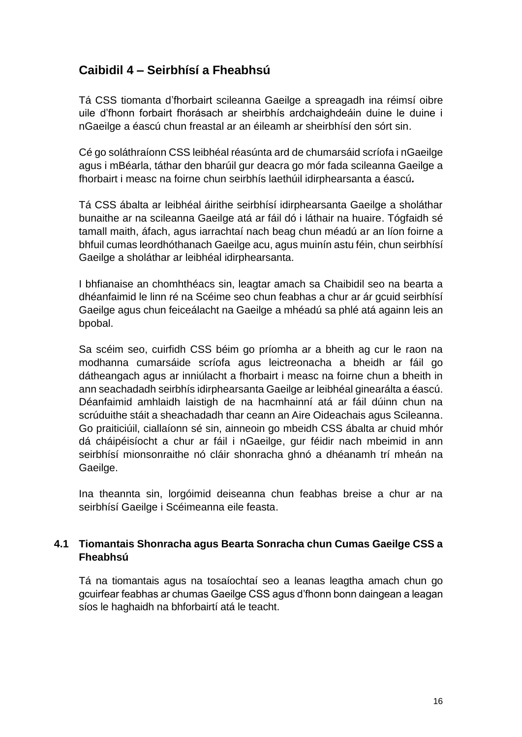# <span id="page-17-0"></span>**Caibidil 4 – Seirbhísí a Fheabhsú**

Tá CSS tiomanta d'fhorbairt scileanna Gaeilge a spreagadh ina réimsí oibre uile d'fhonn forbairt fhorásach ar sheirbhís ardchaighdeáin duine le duine i nGaeilge a éascú chun freastal ar an éileamh ar sheirbhísí den sórt sin.

Cé go soláthraíonn CSS leibhéal réasúnta ard de chumarsáid scríofa i nGaeilge agus i mBéarla, táthar den bharúil gur deacra go mór fada scileanna Gaeilge a fhorbairt i measc na foirne chun seirbhís laethúil idirphearsanta a éascú*.*

Tá CSS ábalta ar leibhéal áirithe seirbhísí idirphearsanta Gaeilge a sholáthar bunaithe ar na scileanna Gaeilge atá ar fáil dó i láthair na huaire. Tógfaidh sé tamall maith, áfach, agus iarrachtaí nach beag chun méadú ar an líon foirne a bhfuil cumas leordhóthanach Gaeilge acu, agus muinín astu féin, chun seirbhísí Gaeilge a sholáthar ar leibhéal idirphearsanta.

I bhfianaise an chomhthéacs sin, leagtar amach sa Chaibidil seo na bearta a dhéanfaimid le linn ré na Scéime seo chun feabhas a chur ar ár gcuid seirbhísí Gaeilge agus chun feiceálacht na Gaeilge a mhéadú sa phlé atá againn leis an bpobal.

Sa scéim seo, cuirfidh CSS béim go príomha ar a bheith ag cur le raon na modhanna cumarsáide scríofa agus leictreonacha a bheidh ar fáil go dátheangach agus ar inniúlacht a fhorbairt i measc na foirne chun a bheith in ann seachadadh seirbhís idirphearsanta Gaeilge ar leibhéal ginearálta a éascú. Déanfaimid amhlaidh laistigh de na hacmhainní atá ar fáil dúinn chun na scrúduithe stáit a sheachadadh thar ceann an Aire Oideachais agus Scileanna. Go praiticiúil, ciallaíonn sé sin, ainneoin go mbeidh CSS ábalta ar chuid mhór dá cháipéisíocht a chur ar fáil i nGaeilge, gur féidir nach mbeimid in ann seirbhísí mionsonraithe nó cláir shonracha ghnó a dhéanamh trí mheán na Gaeilge.

Ina theannta sin, lorgóimid deiseanna chun feabhas breise a chur ar na seirbhísí Gaeilge i Scéimeanna eile feasta.

#### <span id="page-17-1"></span>**4.1 Tiomantais Shonracha agus Bearta Sonracha chun Cumas Gaeilge CSS a Fheabhsú**

Tá na tiomantais agus na tosaíochtaí seo a leanas leagtha amach chun go gcuirfear feabhas ar chumas Gaeilge CSS agus d'fhonn bonn daingean a leagan síos le haghaidh na bhforbairtí atá le teacht.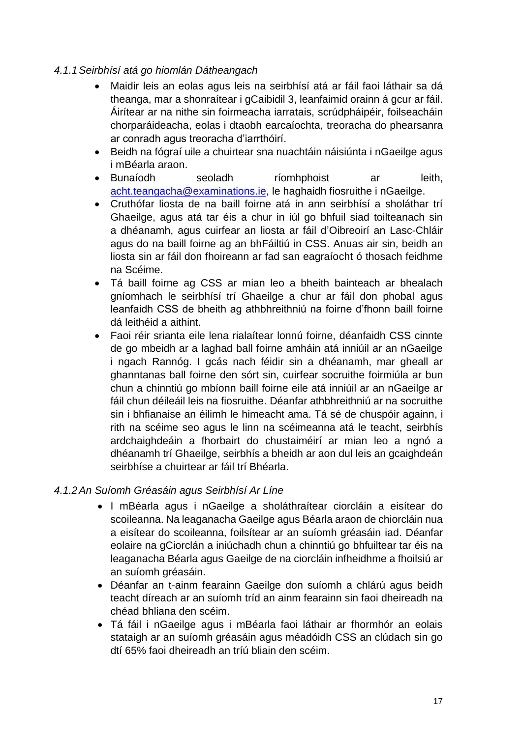#### *4.1.1Seirbhísí atá go hiomlán Dátheangach*

- Maidir leis an eolas agus leis na seirbhísí atá ar fáil faoi láthair sa dá theanga, mar a shonraítear i gCaibidil 3, leanfaimid orainn á gcur ar fáil. Áirítear ar na nithe sin foirmeacha iarratais, scrúdpháipéir, foilseacháin chorparáideacha, eolas i dtaobh earcaíochta, treoracha do phearsanra ar conradh agus treoracha d'iarrthóirí.
- Beidh na fógraí uile a chuirtear sna nuachtáin náisiúnta i nGaeilge agus i mBéarla araon.
- Bunaíodh seoladh ríomhphoist ar leith, [acht.teangacha@examinations.ie,](mailto:acht.teangacha@examinations.ie) le haghaidh fiosruithe i nGaeilge.
- Cruthófar liosta de na baill foirne atá in ann seirbhísí a sholáthar trí Ghaeilge, agus atá tar éis a chur in iúl go bhfuil siad toilteanach sin a dhéanamh, agus cuirfear an liosta ar fáil d'Oibreoirí an Lasc-Chláir agus do na baill foirne ag an bhFáiltiú in CSS. Anuas air sin, beidh an liosta sin ar fáil don fhoireann ar fad san eagraíocht ó thosach feidhme na Scéime.
- Tá baill foirne ag CSS ar mian leo a bheith bainteach ar bhealach gníomhach le seirbhísí trí Ghaeilge a chur ar fáil don phobal agus leanfaidh CSS de bheith ag athbhreithniú na foirne d'fhonn baill foirne dá leithéid a aithint.
- Faoi réir srianta eile lena rialaítear lonnú foirne, déanfaidh CSS cinnte de go mbeidh ar a laghad ball foirne amháin atá inniúil ar an nGaeilge i ngach Rannóg. I gcás nach féidir sin a dhéanamh, mar gheall ar ghanntanas ball foirne den sórt sin, cuirfear socruithe foirmiúla ar bun chun a chinntiú go mbíonn baill foirne eile atá inniúil ar an nGaeilge ar fáil chun déileáil leis na fiosruithe. Déanfar athbhreithniú ar na socruithe sin i bhfianaise an éilimh le himeacht ama. Tá sé de chuspóir againn, i rith na scéime seo agus le linn na scéimeanna atá le teacht, seirbhís ardchaighdeáin a fhorbairt do chustaiméirí ar mian leo a ngnó a dhéanamh trí Ghaeilge, seirbhís a bheidh ar aon dul leis an gcaighdeán seirbhíse a chuirtear ar fáil trí Bhéarla.

#### *4.1.2An Suíomh Gréasáin agus Seirbhísí Ar Líne*

- I mBéarla agus i nGaeilge a sholáthraítear ciorcláin a eisítear do scoileanna. Na leaganacha Gaeilge agus Béarla araon de chiorcláin nua a eisítear do scoileanna, foilsítear ar an suíomh gréasáin iad. Déanfar eolaire na gCiorclán a iniúchadh chun a chinntiú go bhfuiltear tar éis na leaganacha Béarla agus Gaeilge de na ciorcláin infheidhme a fhoilsiú ar an suíomh gréasáin.
- Déanfar an t-ainm fearainn Gaeilge don suíomh a chlárú agus beidh teacht díreach ar an suíomh tríd an ainm fearainn sin faoi dheireadh na chéad bhliana den scéim.
- Tá fáil i nGaeilge agus i mBéarla faoi láthair ar fhormhór an eolais stataigh ar an suíomh gréasáin agus méadóidh CSS an clúdach sin go dtí 65% faoi dheireadh an tríú bliain den scéim.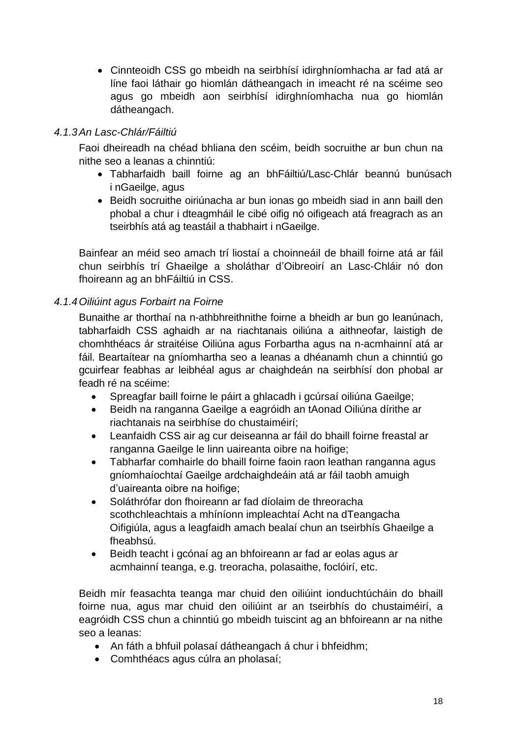Cinnteoidh CSS go mbeidh na seirbhísí idirghníomhacha ar fad atá ar líne faoi láthair go hiomlán dátheangach in imeacht ré na scéime seo agus go mbeidh aon seirbhísí idirghníomhacha nua go hiomlán dátheangach.

### *4.1.3An Lasc-Chlár/Fáiltiú*

Faoi dheireadh na chéad bhliana den scéim, beidh socruithe ar bun chun na nithe seo a leanas a chinntiú:

- Tabharfaidh baill foirne ag an bhFáiltiú/Lasc-Chlár beannú bunúsach i nGaeilge, agus
- Beidh socruithe oiriúnacha ar bun ionas go mbeidh siad in ann baill den phobal a chur i dteagmháil le cibé oifig nó oifigeach atá freagrach as an tseirbhís atá ag teastáil a thabhairt i nGaeilge.

Bainfear an méid seo amach trí liostaí a choinneáil de bhaill foirne atá ar fáil chun seirbhís trí Ghaeilge a sholáthar d'Oibreoirí an Lasc-Chláir nó don fhoireann ag an bhFáiltiú in CSS.

#### *4.1.4Oiliúint agus Forbairt na Foirne*

Bunaithe ar thorthaí na n-athbhreithnithe foirne a bheidh ar bun go leanúnach, tabharfaidh CSS aghaidh ar na riachtanais oiliúna a aithneofar, laistigh de chomhthéacs ár straitéise Oiliúna agus Forbartha agus na n-acmhainní atá ar fáil. Beartaítear na gníomhartha seo a leanas a dhéanamh chun a chinntiú go gcuirfear feabhas ar leibhéal agus ar chaighdeán na seirbhísí don phobal ar feadh ré na scéime:

- Spreagfar baill foirne le páirt a ghlacadh i gcúrsaí oiliúna Gaeilge;
- Beidh na ranganna Gaeilge a eagróidh an tAonad Oiliúna dírithe ar riachtanais na seirbhíse do chustaiméirí;
- Leanfaidh CSS air ag cur deiseanna ar fáil do bhaill foirne freastal ar ranganna Gaeilge le linn uaireanta oibre na hoifige;
- Tabharfar comhairle do bhaill foirne faoin raon leathan ranganna agus gníomhaíochtaí Gaeilge ardchaighdeáin atá ar fáil taobh amuigh d'uaireanta oibre na hoifige;
- Soláthrófar don fhoireann ar fad díolaim de threoracha scothchleachtais a mhíníonn impleachtaí Acht na dTeangacha Oifigiúla, agus a leagfaidh amach bealaí chun an tseirbhís Ghaeilge a fheabhsú.
- Beidh teacht i gcónaí ag an bhfoireann ar fad ar eolas agus ar acmhainní teanga, e.g. treoracha, polasaithe, foclóirí, etc.

Beidh mír feasachta teanga mar chuid den oiliúint ionduchtúcháin do bhaill foirne nua, agus mar chuid den oiliúint ar an tseirbhís do chustaiméirí, a eagróidh CSS chun a chinntiú go mbeidh tuiscint ag an bhfoireann ar na nithe seo a leanas:

- An fáth a bhfuil polasaí dátheangach á chur i bhfeidhm;
- Comhthéacs agus cúlra an pholasaí;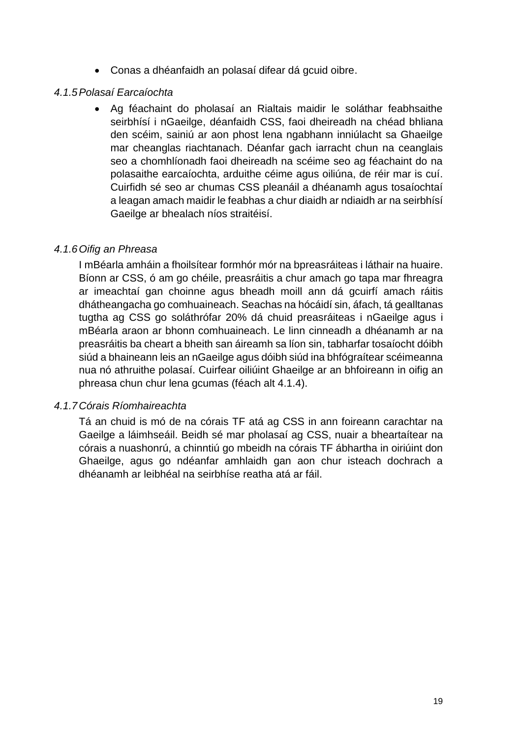Conas a dhéanfaidh an polasaí difear dá gcuid oibre.

#### *4.1.5Polasaí Earcaíochta*

 Ag féachaint do pholasaí an Rialtais maidir le soláthar feabhsaithe seirbhísí i nGaeilge, déanfaidh CSS, faoi dheireadh na chéad bhliana den scéim, sainiú ar aon phost lena ngabhann inniúlacht sa Ghaeilge mar cheanglas riachtanach. Déanfar gach iarracht chun na ceanglais seo a chomhlíonadh faoi dheireadh na scéime seo ag féachaint do na polasaithe earcaíochta, arduithe céime agus oiliúna, de réir mar is cuí. Cuirfidh sé seo ar chumas CSS pleanáil a dhéanamh agus tosaíochtaí a leagan amach maidir le feabhas a chur diaidh ar ndiaidh ar na seirbhísí Gaeilge ar bhealach níos straitéisí.

#### *4.1.6Oifig an Phreasa*

I mBéarla amháin a fhoilsítear formhór mór na bpreasráiteas i láthair na huaire. Bíonn ar CSS, ó am go chéile, preasráitis a chur amach go tapa mar fhreagra ar imeachtaí gan choinne agus bheadh moill ann dá gcuirfí amach ráitis dhátheangacha go comhuaineach. Seachas na hócáidí sin, áfach, tá gealltanas tugtha ag CSS go soláthrófar 20% dá chuid preasráiteas i nGaeilge agus i mBéarla araon ar bhonn comhuaineach. Le linn cinneadh a dhéanamh ar na preasráitis ba cheart a bheith san áireamh sa líon sin, tabharfar tosaíocht dóibh siúd a bhaineann leis an nGaeilge agus dóibh siúd ina bhfógraítear scéimeanna nua nó athruithe polasaí. Cuirfear oiliúint Ghaeilge ar an bhfoireann in oifig an phreasa chun chur lena gcumas (féach alt 4.1.4).

#### *4.1.7Córais Ríomhaireachta*

Tá an chuid is mó de na córais TF atá ag CSS in ann foireann carachtar na Gaeilge a láimhseáil. Beidh sé mar pholasaí ag CSS, nuair a bheartaítear na córais a nuashonrú, a chinntiú go mbeidh na córais TF ábhartha in oiriúint don Ghaeilge, agus go ndéanfar amhlaidh gan aon chur isteach dochrach a dhéanamh ar leibhéal na seirbhíse reatha atá ar fáil.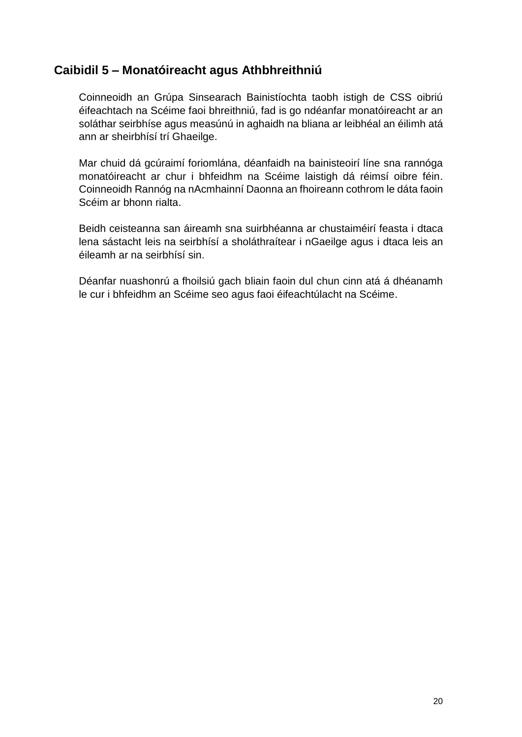### <span id="page-21-0"></span>**Caibidil 5 – Monatóireacht agus Athbhreithniú**

Coinneoidh an Grúpa Sinsearach Bainistíochta taobh istigh de CSS oibriú éifeachtach na Scéime faoi bhreithniú, fad is go ndéanfar monatóireacht ar an soláthar seirbhíse agus measúnú in aghaidh na bliana ar leibhéal an éilimh atá ann ar sheirbhísí trí Ghaeilge.

Mar chuid dá gcúraimí foriomlána, déanfaidh na bainisteoirí líne sna rannóga monatóireacht ar chur i bhfeidhm na Scéime laistigh dá réimsí oibre féin. Coinneoidh Rannóg na nAcmhainní Daonna an fhoireann cothrom le dáta faoin Scéim ar bhonn rialta.

Beidh ceisteanna san áireamh sna suirbhéanna ar chustaiméirí feasta i dtaca lena sástacht leis na seirbhísí a sholáthraítear i nGaeilge agus i dtaca leis an éileamh ar na seirbhísí sin.

Déanfar nuashonrú a fhoilsiú gach bliain faoin dul chun cinn atá á dhéanamh le cur i bhfeidhm an Scéime seo agus faoi éifeachtúlacht na Scéime.